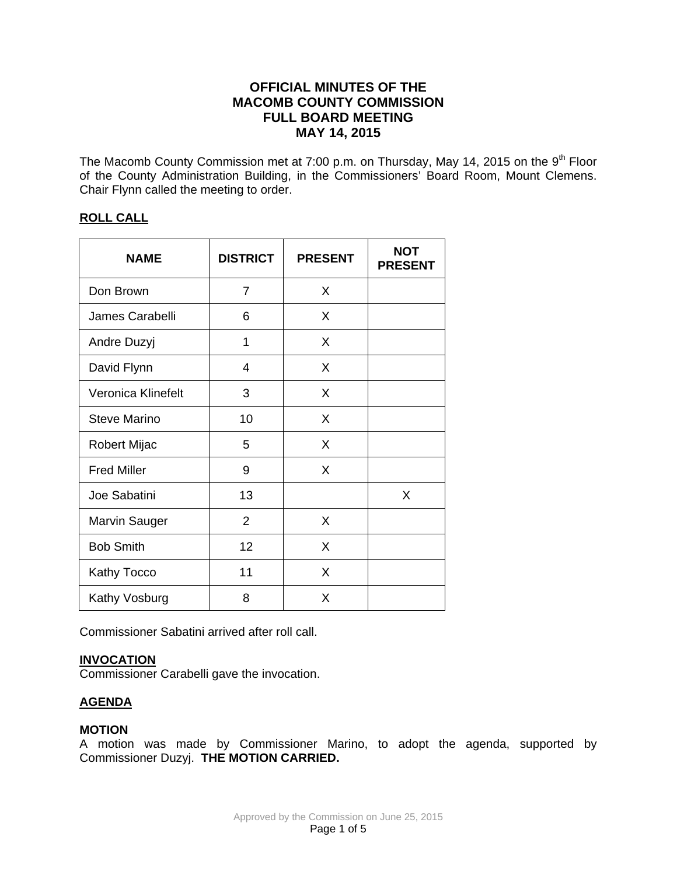# **OFFICIAL MINUTES OF THE MACOMB COUNTY COMMISSION FULL BOARD MEETING MAY 14, 2015**

The Macomb County Commission met at 7:00 p.m. on Thursday, May 14, 2015 on the 9<sup>th</sup> Floor of the County Administration Building, in the Commissioners' Board Room, Mount Clemens. Chair Flynn called the meeting to order.

## **ROLL CALL**

| <b>NAME</b>          | <b>DISTRICT</b> | <b>PRESENT</b> | <b>NOT</b><br><b>PRESENT</b> |
|----------------------|-----------------|----------------|------------------------------|
| Don Brown            | $\overline{7}$  | X              |                              |
| James Carabelli      | 6               | X              |                              |
| Andre Duzyj          | 1               | X              |                              |
| David Flynn          | 4               | X              |                              |
| Veronica Klinefelt   | 3               | X              |                              |
| <b>Steve Marino</b>  | 10              | X              |                              |
| <b>Robert Mijac</b>  | 5               | X              |                              |
| <b>Fred Miller</b>   | 9               | X              |                              |
| Joe Sabatini         | 13              |                | X                            |
| <b>Marvin Sauger</b> | 2               | X              |                              |
| <b>Bob Smith</b>     | 12              | X              |                              |
| Kathy Tocco          | 11              | X              |                              |
| Kathy Vosburg        | 8               | X              |                              |

Commissioner Sabatini arrived after roll call.

## **INVOCATION**

Commissioner Carabelli gave the invocation.

# **AGENDA**

## **MOTION**

A motion was made by Commissioner Marino, to adopt the agenda, supported by Commissioner Duzyj. **THE MOTION CARRIED.**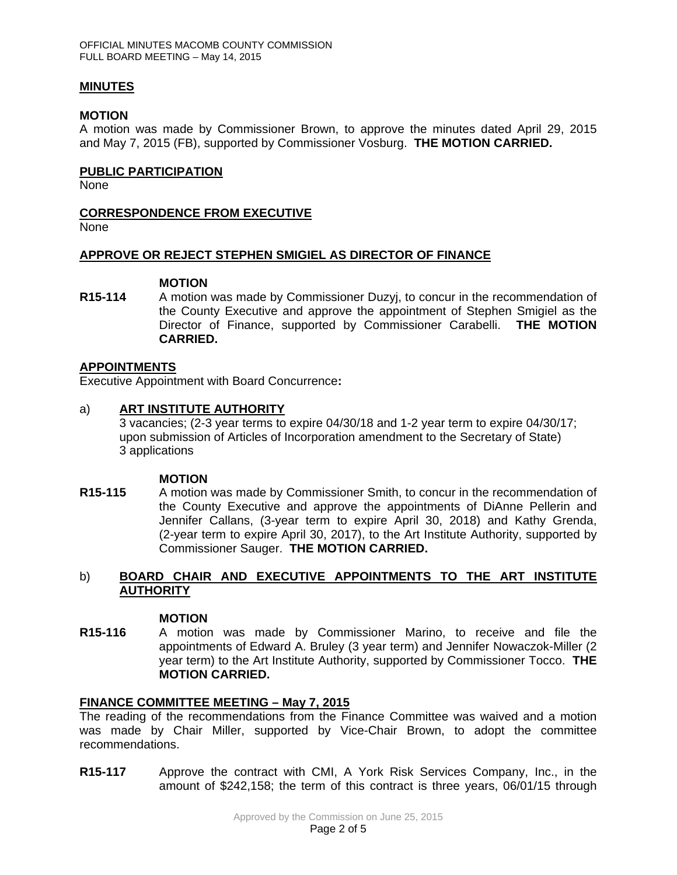### **MINUTES**

### **MOTION**

A motion was made by Commissioner Brown, to approve the minutes dated April 29, 2015 and May 7, 2015 (FB), supported by Commissioner Vosburg. **THE MOTION CARRIED.** 

### **PUBLIC PARTICIPATION**

None

### **CORRESPONDENCE FROM EXECUTIVE**

None

### **APPROVE OR REJECT STEPHEN SMIGIEL AS DIRECTOR OF FINANCE**

#### **MOTION**

**R15-114** A motion was made by Commissioner Duzyj, to concur in the recommendation of the County Executive and approve the appointment of Stephen Smigiel as the Director of Finance, supported by Commissioner Carabelli. **THE MOTION CARRIED.** 

## **APPOINTMENTS**

Executive Appointment with Board Concurrence**:** 

### a) **ART INSTITUTE AUTHORITY**

3 vacancies; (2-3 year terms to expire 04/30/18 and 1-2 year term to expire 04/30/17; upon submission of Articles of Incorporation amendment to the Secretary of State) 3 applications

#### **MOTION**

**R15-115** A motion was made by Commissioner Smith, to concur in the recommendation of the County Executive and approve the appointments of DiAnne Pellerin and Jennifer Callans, (3-year term to expire April 30, 2018) and Kathy Grenda, (2-year term to expire April 30, 2017), to the Art Institute Authority, supported by Commissioner Sauger. **THE MOTION CARRIED.** 

## b) **BOARD CHAIR AND EXECUTIVE APPOINTMENTS TO THE ART INSTITUTE AUTHORITY**

#### **MOTION**

**R15-116** A motion was made by Commissioner Marino, to receive and file the appointments of Edward A. Bruley (3 year term) and Jennifer Nowaczok-Miller (2 year term) to the Art Institute Authority, supported by Commissioner Tocco. **THE MOTION CARRIED.** 

#### **FINANCE COMMITTEE MEETING – May 7, 2015**

The reading of the recommendations from the Finance Committee was waived and a motion was made by Chair Miller, supported by Vice-Chair Brown, to adopt the committee recommendations.

**R15-117** Approve the contract with CMI, A York Risk Services Company, Inc., in the amount of \$242,158; the term of this contract is three years, 06/01/15 through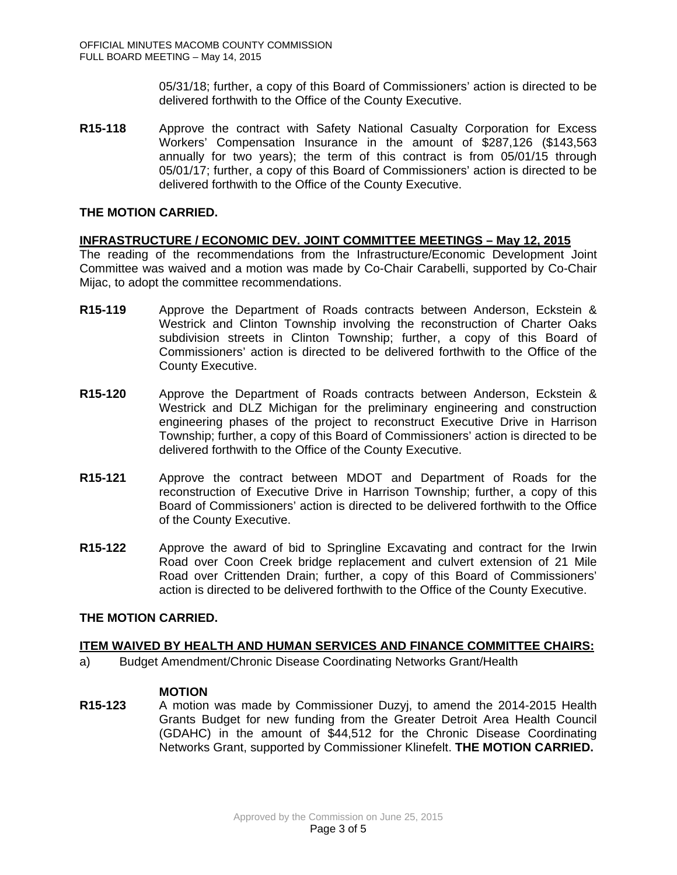05/31/18; further, a copy of this Board of Commissioners' action is directed to be delivered forthwith to the Office of the County Executive.

**R15-118** Approve the contract with Safety National Casualty Corporation for Excess Workers' Compensation Insurance in the amount of \$287,126 (\$143,563 annually for two years); the term of this contract is from 05/01/15 through 05/01/17; further, a copy of this Board of Commissioners' action is directed to be delivered forthwith to the Office of the County Executive.

### **THE MOTION CARRIED.**

## **INFRASTRUCTURE / ECONOMIC DEV. JOINT COMMITTEE MEETINGS – May 12, 2015**

The reading of the recommendations from the Infrastructure/Economic Development Joint Committee was waived and a motion was made by Co-Chair Carabelli, supported by Co-Chair Mijac, to adopt the committee recommendations.

- **R15-119** Approve the Department of Roads contracts between Anderson, Eckstein & Westrick and Clinton Township involving the reconstruction of Charter Oaks subdivision streets in Clinton Township; further, a copy of this Board of Commissioners' action is directed to be delivered forthwith to the Office of the County Executive.
- **R15-120** Approve the Department of Roads contracts between Anderson, Eckstein & Westrick and DLZ Michigan for the preliminary engineering and construction engineering phases of the project to reconstruct Executive Drive in Harrison Township; further, a copy of this Board of Commissioners' action is directed to be delivered forthwith to the Office of the County Executive.
- **R15-121** Approve the contract between MDOT and Department of Roads for the reconstruction of Executive Drive in Harrison Township; further, a copy of this Board of Commissioners' action is directed to be delivered forthwith to the Office of the County Executive.
- **R15-122** Approve the award of bid to Springline Excavating and contract for the Irwin Road over Coon Creek bridge replacement and culvert extension of 21 Mile Road over Crittenden Drain; further, a copy of this Board of Commissioners' action is directed to be delivered forthwith to the Office of the County Executive.

#### **THE MOTION CARRIED.**

#### **ITEM WAIVED BY HEALTH AND HUMAN SERVICES AND FINANCE COMMITTEE CHAIRS:**

a) Budget Amendment/Chronic Disease Coordinating Networks Grant/Health

#### **MOTION**

**R15-123** A motion was made by Commissioner Duzyj, to amend the 2014-2015 Health Grants Budget for new funding from the Greater Detroit Area Health Council (GDAHC) in the amount of \$44,512 for the Chronic Disease Coordinating Networks Grant, supported by Commissioner Klinefelt. **THE MOTION CARRIED.**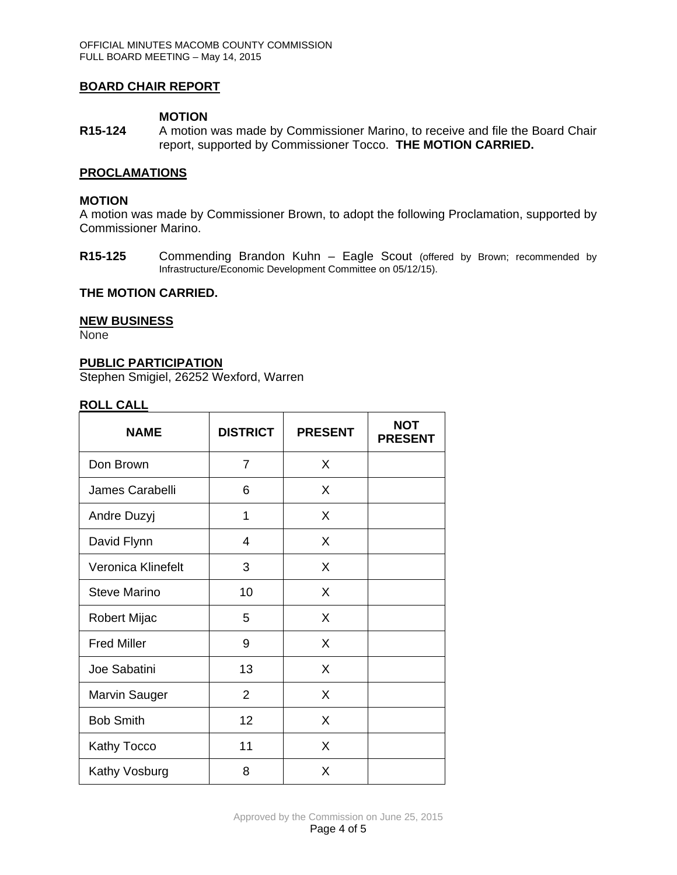### **BOARD CHAIR REPORT**

#### **MOTION**

**R15-124** A motion was made by Commissioner Marino, to receive and file the Board Chair report, supported by Commissioner Tocco. **THE MOTION CARRIED.**

#### **PROCLAMATIONS**

### **MOTION**

A motion was made by Commissioner Brown, to adopt the following Proclamation, supported by Commissioner Marino.

**R15-125** Commending Brandon Kuhn – Eagle Scout (offered by Brown; recommended by Infrastructure/Economic Development Committee on 05/12/15).

### **THE MOTION CARRIED.**

#### **NEW BUSINESS**

None

#### **PUBLIC PARTICIPATION**

Stephen Smigiel, 26252 Wexford, Warren

#### **ROLL CALL**

| <b>NAME</b>          | <b>DISTRICT</b> | <b>PRESENT</b> | <b>NOT</b><br><b>PRESENT</b> |
|----------------------|-----------------|----------------|------------------------------|
| Don Brown            | 7               | X              |                              |
| James Carabelli      | 6               | X              |                              |
| Andre Duzyj          | 1               | X              |                              |
| David Flynn          | 4               | X              |                              |
| Veronica Klinefelt   | 3               | X              |                              |
| <b>Steve Marino</b>  | 10              | X              |                              |
| Robert Mijac         | 5               | X              |                              |
| <b>Fred Miller</b>   | 9               | X              |                              |
| Joe Sabatini         | 13              | X              |                              |
| <b>Marvin Sauger</b> | $\overline{2}$  | X              |                              |
| <b>Bob Smith</b>     | 12              | X              |                              |
| <b>Kathy Tocco</b>   | 11              | X              |                              |
| Kathy Vosburg        | 8               | X              |                              |